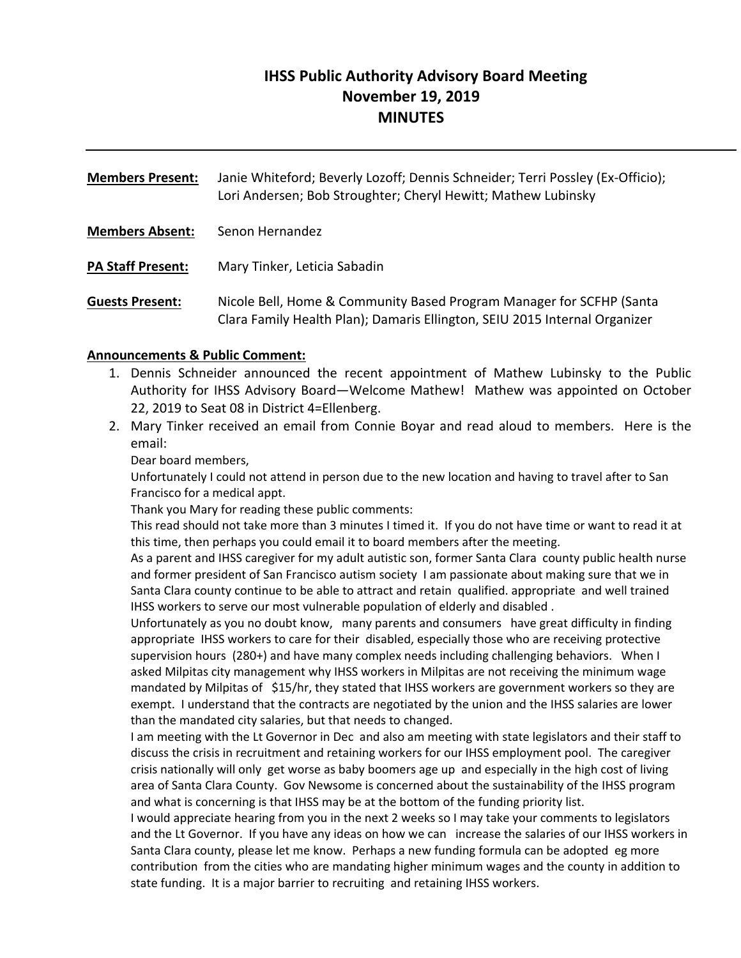# **IHSS Public Authority Advisory Board Meeting November 19, 2019 MINUTES**

**Members Present:** Janie Whiteford; Beverly Lozoff; Dennis Schneider; Terri Possley (Ex‐Officio); Lori Andersen; Bob Stroughter; Cheryl Hewitt; Mathew Lubinsky **Members Absent:** Senon Hernandez **PA Staff Present:** Mary Tinker, Leticia Sabadin **Guests Present:** Nicole Bell, Home & Community Based Program Manager for SCFHP (Santa Clara Family Health Plan); Damaris Ellington, SEIU 2015 Internal Organizer

#### **Announcements & Public Comment:**

- 1. Dennis Schneider announced the recent appointment of Mathew Lubinsky to the Public Authority for IHSS Advisory Board—Welcome Mathew! Mathew was appointed on October 22, 2019 to Seat 08 in District 4=Ellenberg.
- 2. Mary Tinker received an email from Connie Boyar and read aloud to members. Here is the email:

Dear board members,

Unfortunately I could not attend in person due to the new location and having to travel after to San Francisco for a medical appt.

Thank you Mary for reading these public comments:

This read should not take more than 3 minutes I timed it. If you do not have time or want to read it at this time, then perhaps you could email it to board members after the meeting.

As a parent and IHSS caregiver for my adult autistic son, former Santa Clara county public health nurse and former president of San Francisco autism society I am passionate about making sure that we in Santa Clara county continue to be able to attract and retain qualified. appropriate and well trained IHSS workers to serve our most vulnerable population of elderly and disabled .

Unfortunately as you no doubt know, many parents and consumers have great difficulty in finding appropriate IHSS workers to care for their disabled, especially those who are receiving protective supervision hours (280+) and have many complex needs including challenging behaviors. When I asked Milpitas city management why IHSS workers in Milpitas are not receiving the minimum wage mandated by Milpitas of \$15/hr, they stated that IHSS workers are government workers so they are exempt. I understand that the contracts are negotiated by the union and the IHSS salaries are lower than the mandated city salaries, but that needs to changed.

I am meeting with the Lt Governor in Dec and also am meeting with state legislators and their staff to discuss the crisis in recruitment and retaining workers for our IHSS employment pool. The caregiver crisis nationally will only get worse as baby boomers age up and especially in the high cost of living area of Santa Clara County. Gov Newsome is concerned about the sustainability of the IHSS program and what is concerning is that IHSS may be at the bottom of the funding priority list.

I would appreciate hearing from you in the next 2 weeks so I may take your comments to legislators and the Lt Governor. If you have any ideas on how we can increase the salaries of our IHSS workers in Santa Clara county, please let me know. Perhaps a new funding formula can be adopted eg more contribution from the cities who are mandating higher minimum wages and the county in addition to state funding. It is a major barrier to recruiting and retaining IHSS workers.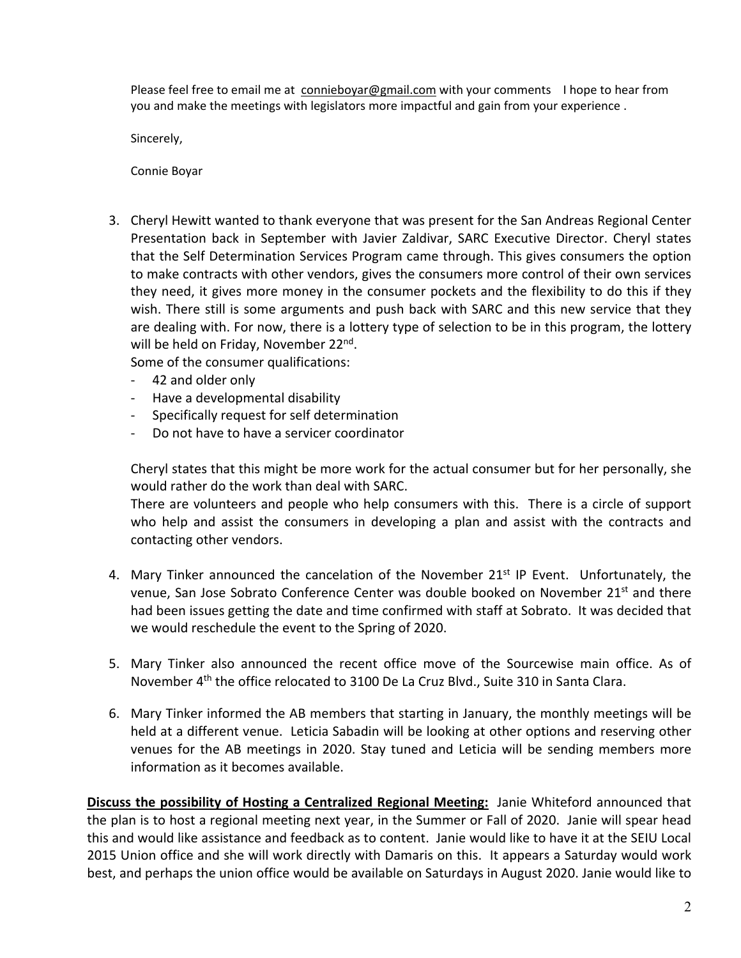Please feel free to email me at connieboyar@gmail.com with your comments I hope to hear from you and make the meetings with legislators more impactful and gain from your experience .

Sincerely,

Connie Boyar

3. Cheryl Hewitt wanted to thank everyone that was present for the San Andreas Regional Center Presentation back in September with Javier Zaldivar, SARC Executive Director. Cheryl states that the Self Determination Services Program came through. This gives consumers the option to make contracts with other vendors, gives the consumers more control of their own services they need, it gives more money in the consumer pockets and the flexibility to do this if they wish. There still is some arguments and push back with SARC and this new service that they are dealing with. For now, there is a lottery type of selection to be in this program, the lottery will be held on Friday, November 22<sup>nd</sup>.

Some of the consumer qualifications:

- ‐ 42 and older only
- ‐ Have a developmental disability
- ‐ Specifically request for self determination
- ‐ Do not have to have a servicer coordinator

Cheryl states that this might be more work for the actual consumer but for her personally, she would rather do the work than deal with SARC.

There are volunteers and people who help consumers with this. There is a circle of support who help and assist the consumers in developing a plan and assist with the contracts and contacting other vendors.

- 4. Mary Tinker announced the cancelation of the November  $21^{st}$  IP Event. Unfortunately, the venue, San Jose Sobrato Conference Center was double booked on November 21st and there had been issues getting the date and time confirmed with staff at Sobrato. It was decided that we would reschedule the event to the Spring of 2020.
- 5. Mary Tinker also announced the recent office move of the Sourcewise main office. As of November 4th the office relocated to 3100 De La Cruz Blvd., Suite 310 in Santa Clara.
- 6. Mary Tinker informed the AB members that starting in January, the monthly meetings will be held at a different venue. Leticia Sabadin will be looking at other options and reserving other venues for the AB meetings in 2020. Stay tuned and Leticia will be sending members more information as it becomes available.

**Discuss the possibility of Hosting a Centralized Regional Meeting:** Janie Whiteford announced that the plan is to host a regional meeting next year, in the Summer or Fall of 2020. Janie will spear head this and would like assistance and feedback as to content. Janie would like to have it at the SEIU Local 2015 Union office and she will work directly with Damaris on this. It appears a Saturday would work best, and perhaps the union office would be available on Saturdays in August 2020. Janie would like to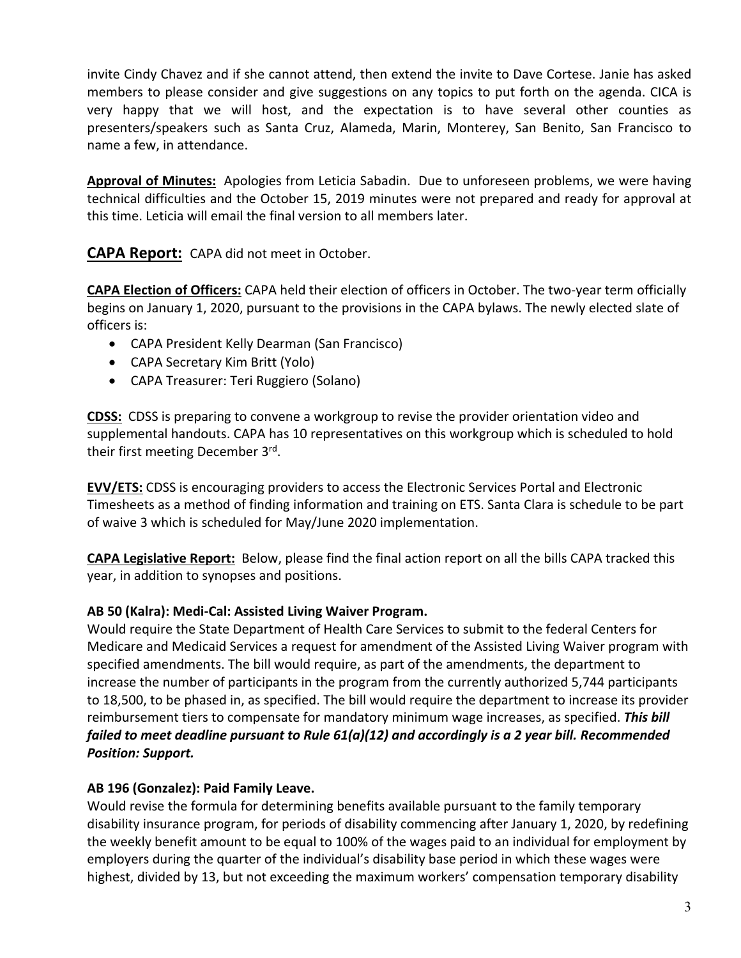invite Cindy Chavez and if she cannot attend, then extend the invite to Dave Cortese. Janie has asked members to please consider and give suggestions on any topics to put forth on the agenda. CICA is very happy that we will host, and the expectation is to have several other counties as presenters/speakers such as Santa Cruz, Alameda, Marin, Monterey, San Benito, San Francisco to name a few, in attendance.

**Approval of Minutes:** Apologies from Leticia Sabadin. Due to unforeseen problems, we were having technical difficulties and the October 15, 2019 minutes were not prepared and ready for approval at this time. Leticia will email the final version to all members later.

**CAPA Report:** CAPA did not meet in October.

**CAPA Election of Officers:** CAPA held their election of officers in October. The two‐year term officially begins on January 1, 2020, pursuant to the provisions in the CAPA bylaws. The newly elected slate of officers is:

- CAPA President Kelly Dearman (San Francisco)
- CAPA Secretary Kim Britt (Yolo)
- CAPA Treasurer: Teri Ruggiero (Solano)

**CDSS:** CDSS is preparing to convene a workgroup to revise the provider orientation video and supplemental handouts. CAPA has 10 representatives on this workgroup which is scheduled to hold their first meeting December 3rd.

**EVV/ETS:** CDSS is encouraging providers to access the Electronic Services Portal and Electronic Timesheets as a method of finding information and training on ETS. Santa Clara is schedule to be part of waive 3 which is scheduled for May/June 2020 implementation.

**CAPA Legislative Report:** Below, please find the final action report on all the bills CAPA tracked this year, in addition to synopses and positions.

#### **AB 50 (Kalra): Medi‐Cal: Assisted Living Waiver Program.**

Would require the State Department of Health Care Services to submit to the federal Centers for Medicare and Medicaid Services a request for amendment of the Assisted Living Waiver program with specified amendments. The bill would require, as part of the amendments, the department to increase the number of participants in the program from the currently authorized 5,744 participants to 18,500, to be phased in, as specified. The bill would require the department to increase its provider reimbursement tiers to compensate for mandatory minimum wage increases, as specified. *This bill failed to meet deadline pursuant to Rule 61(a)(12) and accordingly is a 2 year bill. Recommended Position: Support.* 

#### **AB 196 (Gonzalez): Paid Family Leave.**

Would revise the formula for determining benefits available pursuant to the family temporary disability insurance program, for periods of disability commencing after January 1, 2020, by redefining the weekly benefit amount to be equal to 100% of the wages paid to an individual for employment by employers during the quarter of the individual's disability base period in which these wages were highest, divided by 13, but not exceeding the maximum workers' compensation temporary disability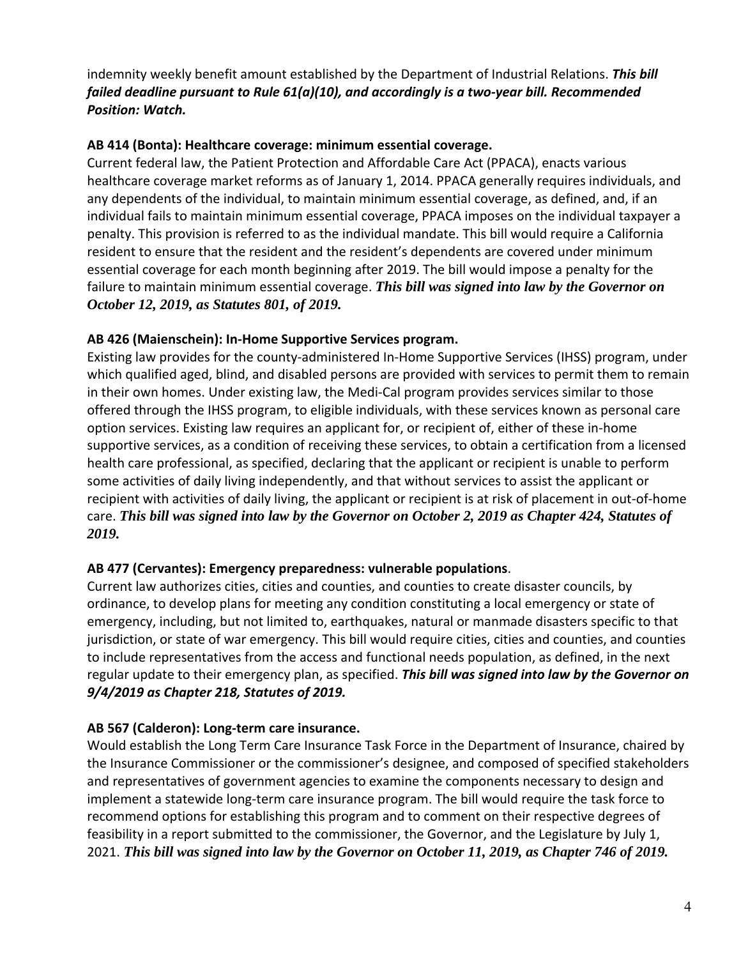indemnity weekly benefit amount established by the Department of Industrial Relations. *This bill failed deadline pursuant to Rule 61(a)(10), and accordingly is a two‐year bill. Recommended Position: Watch.*

#### **AB 414 (Bonta): Healthcare coverage: minimum essential coverage.**

Current federal law, the Patient Protection and Affordable Care Act (PPACA), enacts various healthcare coverage market reforms as of January 1, 2014. PPACA generally requires individuals, and any dependents of the individual, to maintain minimum essential coverage, as defined, and, if an individual fails to maintain minimum essential coverage, PPACA imposes on the individual taxpayer a penalty. This provision is referred to as the individual mandate. This bill would require a California resident to ensure that the resident and the resident's dependents are covered under minimum essential coverage for each month beginning after 2019. The bill would impose a penalty for the failure to maintain minimum essential coverage. *This bill was signed into law by the Governor on October 12, 2019, as Statutes 801, of 2019.* 

### **AB 426 (Maienschein): In‐Home Supportive Services program.**

Existing law provides for the county‐administered In‐Home Supportive Services (IHSS) program, under which qualified aged, blind, and disabled persons are provided with services to permit them to remain in their own homes. Under existing law, the Medi‐Cal program provides services similar to those offered through the IHSS program, to eligible individuals, with these services known as personal care option services. Existing law requires an applicant for, or recipient of, either of these in‐home supportive services, as a condition of receiving these services, to obtain a certification from a licensed health care professional, as specified, declaring that the applicant or recipient is unable to perform some activities of daily living independently, and that without services to assist the applicant or recipient with activities of daily living, the applicant or recipient is at risk of placement in out‐of‐home care. *This bill was signed into law by the Governor on October 2, 2019 as Chapter 424, Statutes of 2019.* 

## **AB 477 (Cervantes): Emergency preparedness: vulnerable populations**.

Current law authorizes cities, cities and counties, and counties to create disaster councils, by ordinance, to develop plans for meeting any condition constituting a local emergency or state of emergency, including, but not limited to, earthquakes, natural or manmade disasters specific to that jurisdiction, or state of war emergency. This bill would require cities, cities and counties, and counties to include representatives from the access and functional needs population, as defined, in the next regular update to their emergency plan, as specified. *This bill was signed into law by the Governor on 9/4/2019 as Chapter 218, Statutes of 2019.* 

## **AB 567 (Calderon): Long‐term care insurance.**

Would establish the Long Term Care Insurance Task Force in the Department of Insurance, chaired by the Insurance Commissioner or the commissioner's designee, and composed of specified stakeholders and representatives of government agencies to examine the components necessary to design and implement a statewide long‐term care insurance program. The bill would require the task force to recommend options for establishing this program and to comment on their respective degrees of feasibility in a report submitted to the commissioner, the Governor, and the Legislature by July 1, 2021. *This bill was signed into law by the Governor on October 11, 2019, as Chapter 746 of 2019.*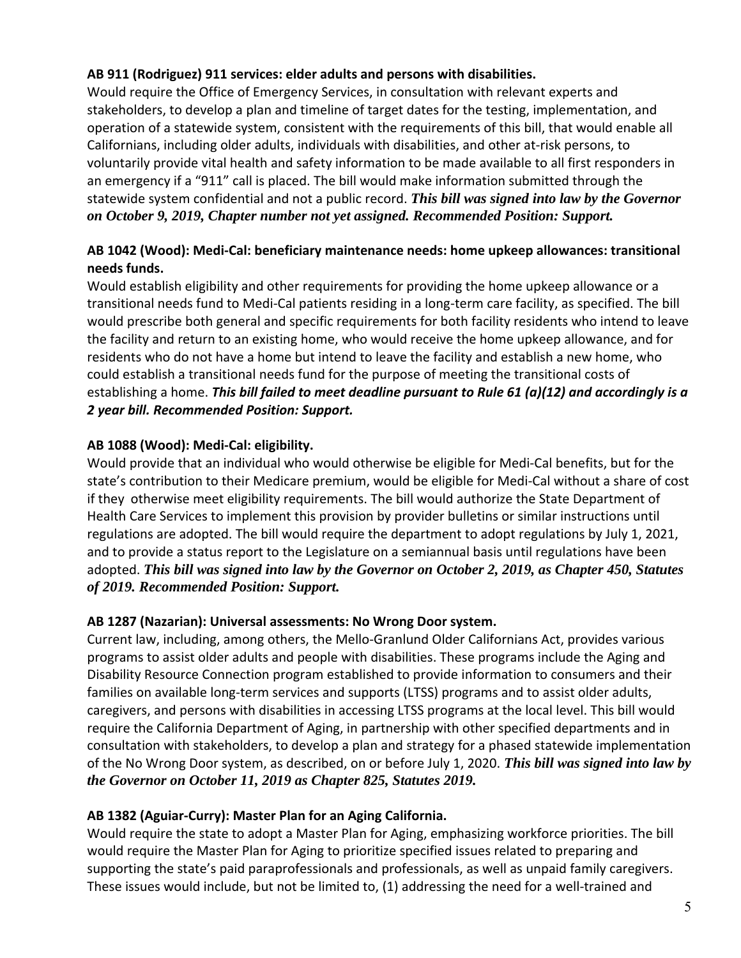## **AB 911 (Rodriguez) 911 services: elder adults and persons with disabilities.**

Would require the Office of Emergency Services, in consultation with relevant experts and stakeholders, to develop a plan and timeline of target dates for the testing, implementation, and operation of a statewide system, consistent with the requirements of this bill, that would enable all Californians, including older adults, individuals with disabilities, and other at‐risk persons, to voluntarily provide vital health and safety information to be made available to all first responders in an emergency if a "911" call is placed. The bill would make information submitted through the statewide system confidential and not a public record. *This bill was signed into law by the Governor on October 9, 2019, Chapter number not yet assigned. Recommended Position: Support.*

### **AB 1042 (Wood): Medi‐Cal: beneficiary maintenance needs: home upkeep allowances: transitional needs funds.**

Would establish eligibility and other requirements for providing the home upkeep allowance or a transitional needs fund to Medi‐Cal patients residing in a long‐term care facility, as specified. The bill would prescribe both general and specific requirements for both facility residents who intend to leave the facility and return to an existing home, who would receive the home upkeep allowance, and for residents who do not have a home but intend to leave the facility and establish a new home, who could establish a transitional needs fund for the purpose of meeting the transitional costs of establishing a home. *This bill failed to meet deadline pursuant to Rule 61 (a)(12) and accordingly is a 2 year bill. Recommended Position: Support.*

### **AB 1088 (Wood): Medi‐Cal: eligibility.**

Would provide that an individual who would otherwise be eligible for Medi‐Cal benefits, but for the state's contribution to their Medicare premium, would be eligible for Medi‐Cal without a share of cost if they otherwise meet eligibility requirements. The bill would authorize the State Department of Health Care Services to implement this provision by provider bulletins or similar instructions until regulations are adopted. The bill would require the department to adopt regulations by July 1, 2021, and to provide a status report to the Legislature on a semiannual basis until regulations have been adopted. *This bill was signed into law by the Governor on October 2, 2019, as Chapter 450, Statutes of 2019. Recommended Position: Support.* 

#### **AB 1287 (Nazarian): Universal assessments: No Wrong Door system.**

Current law, including, among others, the Mello‐Granlund Older Californians Act, provides various programs to assist older adults and people with disabilities. These programs include the Aging and Disability Resource Connection program established to provide information to consumers and their families on available long-term services and supports (LTSS) programs and to assist older adults, caregivers, and persons with disabilities in accessing LTSS programs at the local level. This bill would require the California Department of Aging, in partnership with other specified departments and in consultation with stakeholders, to develop a plan and strategy for a phased statewide implementation of the No Wrong Door system, as described, on or before July 1, 2020. *This bill was signed into law by the Governor on October 11, 2019 as Chapter 825, Statutes 2019.* 

#### **AB 1382 (Aguiar‐Curry): Master Plan for an Aging California.**

Would require the state to adopt a Master Plan for Aging, emphasizing workforce priorities. The bill would require the Master Plan for Aging to prioritize specified issues related to preparing and supporting the state's paid paraprofessionals and professionals, as well as unpaid family caregivers. These issues would include, but not be limited to, (1) addressing the need for a well-trained and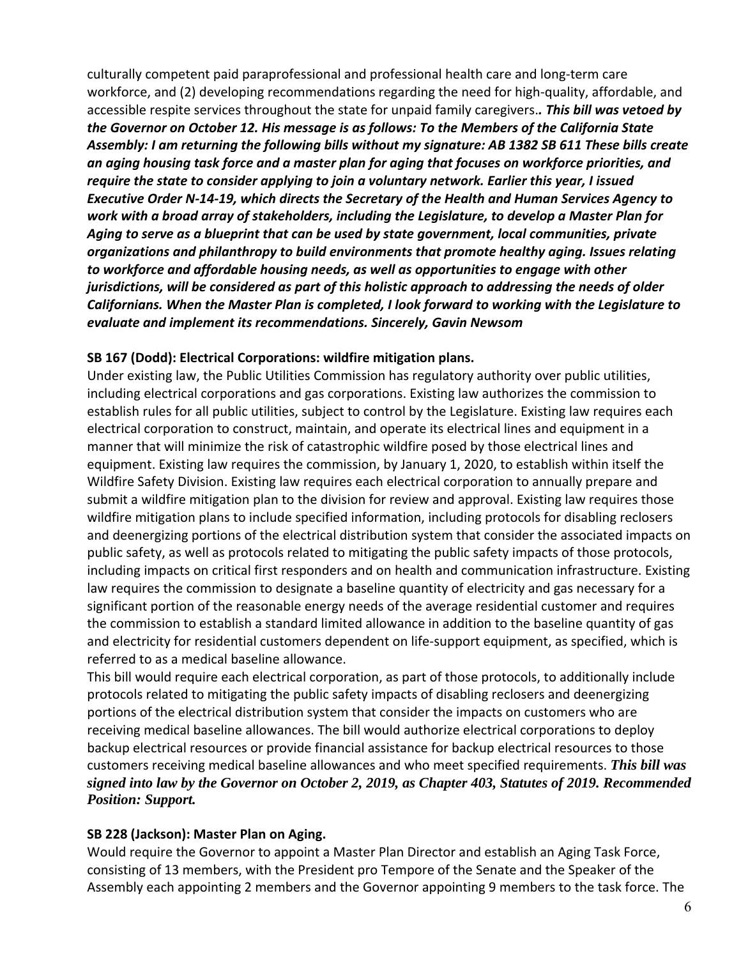culturally competent paid paraprofessional and professional health care and long‐term care workforce, and (2) developing recommendations regarding the need for high-quality, affordable, and accessible respite services throughout the state for unpaid family caregivers.*. This bill was vetoed by the Governor on October 12. His message is as follows: To the Members of the California State Assembly: I am returning the following bills without my signature: AB 1382 SB 611 These bills create an aging housing task force and a master plan for aging that focuses on workforce priorities, and require the state to consider applying to join a voluntary network. Earlier this year, I issued Executive Order N‐14‐19, which directs the Secretary of the Health and Human Services Agency to work with a broad array of stakeholders, including the Legislature, to develop a Master Plan for Aging to serve as a blueprint that can be used by state government, local communities, private organizations and philanthropy to build environments that promote healthy aging. Issues relating to workforce and affordable housing needs, as well as opportunities to engage with other jurisdictions, will be considered as part of this holistic approach to addressing the needs of older Californians. When the Master Plan is completed, I look forward to working with the Legislature to evaluate and implement its recommendations. Sincerely, Gavin Newsom* 

#### **SB 167 (Dodd): Electrical Corporations: wildfire mitigation plans.**

Under existing law, the Public Utilities Commission has regulatory authority over public utilities, including electrical corporations and gas corporations. Existing law authorizes the commission to establish rules for all public utilities, subject to control by the Legislature. Existing law requires each electrical corporation to construct, maintain, and operate its electrical lines and equipment in a manner that will minimize the risk of catastrophic wildfire posed by those electrical lines and equipment. Existing law requires the commission, by January 1, 2020, to establish within itself the Wildfire Safety Division. Existing law requires each electrical corporation to annually prepare and submit a wildfire mitigation plan to the division for review and approval. Existing law requires those wildfire mitigation plans to include specified information, including protocols for disabling reclosers and deenergizing portions of the electrical distribution system that consider the associated impacts on public safety, as well as protocols related to mitigating the public safety impacts of those protocols, including impacts on critical first responders and on health and communication infrastructure. Existing law requires the commission to designate a baseline quantity of electricity and gas necessary for a significant portion of the reasonable energy needs of the average residential customer and requires the commission to establish a standard limited allowance in addition to the baseline quantity of gas and electricity for residential customers dependent on life-support equipment, as specified, which is referred to as a medical baseline allowance.

This bill would require each electrical corporation, as part of those protocols, to additionally include protocols related to mitigating the public safety impacts of disabling reclosers and deenergizing portions of the electrical distribution system that consider the impacts on customers who are receiving medical baseline allowances. The bill would authorize electrical corporations to deploy backup electrical resources or provide financial assistance for backup electrical resources to those customers receiving medical baseline allowances and who meet specified requirements. *This bill was signed into law by the Governor on October 2, 2019, as Chapter 403, Statutes of 2019. Recommended Position: Support.* 

#### **SB 228 (Jackson): Master Plan on Aging.**

Would require the Governor to appoint a Master Plan Director and establish an Aging Task Force, consisting of 13 members, with the President pro Tempore of the Senate and the Speaker of the Assembly each appointing 2 members and the Governor appointing 9 members to the task force. The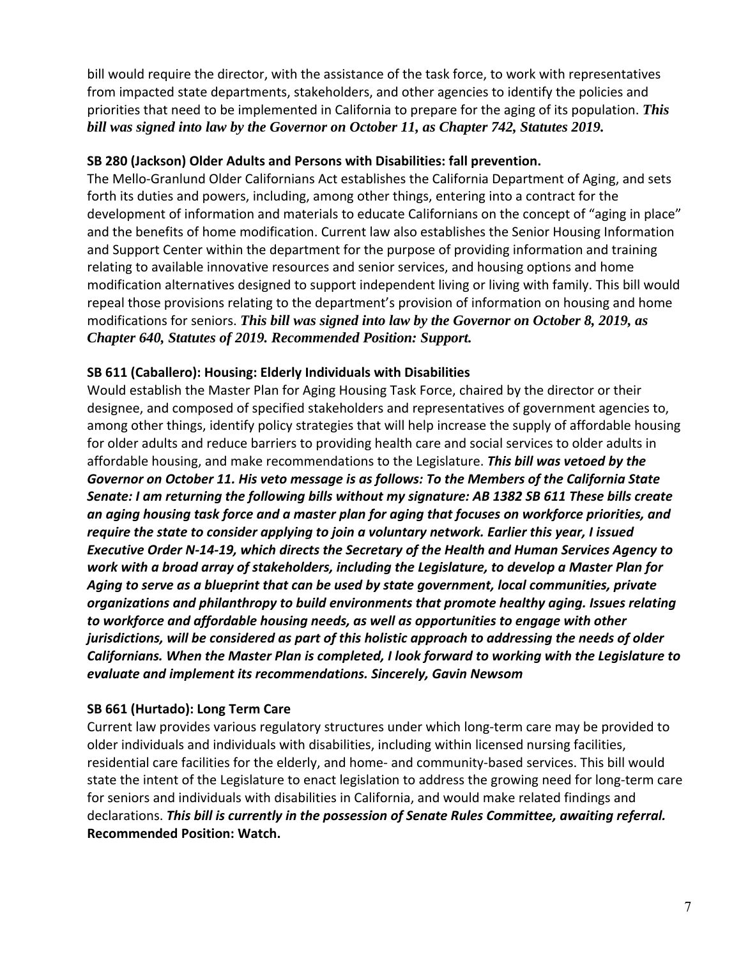bill would require the director, with the assistance of the task force, to work with representatives from impacted state departments, stakeholders, and other agencies to identify the policies and priorities that need to be implemented in California to prepare for the aging of its population. *This bill was signed into law by the Governor on October 11, as Chapter 742, Statutes 2019.* 

#### **SB 280 (Jackson) Older Adults and Persons with Disabilities: fall prevention.**

The Mello‐Granlund Older Californians Act establishes the California Department of Aging, and sets forth its duties and powers, including, among other things, entering into a contract for the development of information and materials to educate Californians on the concept of "aging in place" and the benefits of home modification. Current law also establishes the Senior Housing Information and Support Center within the department for the purpose of providing information and training relating to available innovative resources and senior services, and housing options and home modification alternatives designed to support independent living or living with family. This bill would repeal those provisions relating to the department's provision of information on housing and home modifications for seniors. *This bill was signed into law by the Governor on October 8, 2019, as Chapter 640, Statutes of 2019. Recommended Position: Support.* 

#### **SB 611 (Caballero): Housing: Elderly Individuals with Disabilities**

Would establish the Master Plan for Aging Housing Task Force, chaired by the director or their designee, and composed of specified stakeholders and representatives of government agencies to, among other things, identify policy strategies that will help increase the supply of affordable housing for older adults and reduce barriers to providing health care and social services to older adults in affordable housing, and make recommendations to the Legislature. *This bill was vetoed by the Governor on October 11. His veto message is as follows: To the Members of the California State Senate: I am returning the following bills without my signature: AB 1382 SB 611 These bills create an aging housing task force and a master plan for aging that focuses on workforce priorities, and require the state to consider applying to join a voluntary network. Earlier this year, I issued Executive Order N‐14‐19, which directs the Secretary of the Health and Human Services Agency to work with a broad array of stakeholders, including the Legislature, to develop a Master Plan for Aging to serve as a blueprint that can be used by state government, local communities, private organizations and philanthropy to build environments that promote healthy aging. Issues relating to workforce and affordable housing needs, as well as opportunities to engage with other jurisdictions, will be considered as part of this holistic approach to addressing the needs of older Californians. When the Master Plan is completed, I look forward to working with the Legislature to evaluate and implement its recommendations. Sincerely, Gavin Newsom*

#### **SB 661 (Hurtado): Long Term Care**

Current law provides various regulatory structures under which long‐term care may be provided to older individuals and individuals with disabilities, including within licensed nursing facilities, residential care facilities for the elderly, and home‐ and community‐based services. This bill would state the intent of the Legislature to enact legislation to address the growing need for long‐term care for seniors and individuals with disabilities in California, and would make related findings and declarations. *This bill is currently in the possession of Senate Rules Committee, awaiting referral.* **Recommended Position: Watch.**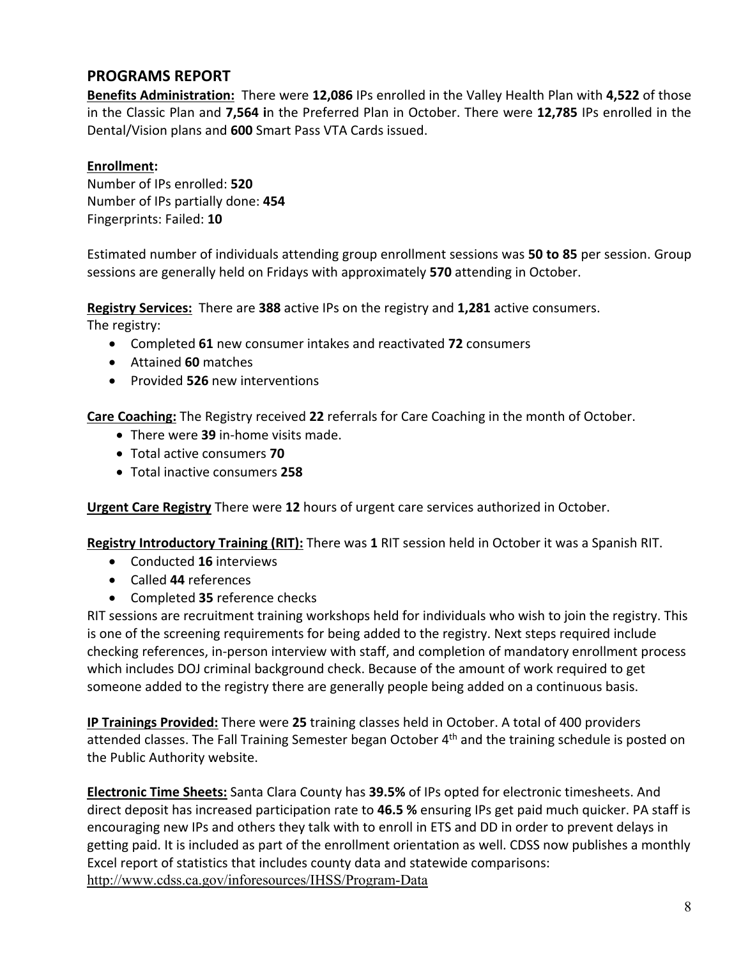## **PROGRAMS REPORT**

**Benefits Administration:** There were **12,086** IPs enrolled in the Valley Health Plan with **4,522** of those in the Classic Plan and **7,564 i**n the Preferred Plan in October. There were **12,785** IPs enrolled in the Dental/Vision plans and **600** Smart Pass VTA Cards issued.

#### **Enrollment:**

Number of IPs enrolled: **520**  Number of IPs partially done: **454** Fingerprints: Failed: **10**

Estimated number of individuals attending group enrollment sessions was **50 to 85** per session. Group sessions are generally held on Fridays with approximately **570** attending in October.

**Registry Services:** There are **388** active IPs on the registry and **1,281** active consumers.

The registry:

- Completed **61** new consumer intakes and reactivated **72** consumers
- Attained **60** matches
- Provided **526** new interventions

**Care Coaching:** The Registry received **22** referrals for Care Coaching in the month of October.

- There were **39** in‐home visits made.
- Total active consumers **70**
- Total inactive consumers **258**

**Urgent Care Registry** There were **12** hours of urgent care services authorized in October.

**Registry Introductory Training (RIT):** There was **1** RIT session held in October it was a Spanish RIT.

- Conducted **16** interviews
- Called **44** references
- Completed **35** reference checks

RIT sessions are recruitment training workshops held for individuals who wish to join the registry. This is one of the screening requirements for being added to the registry. Next steps required include checking references, in‐person interview with staff, and completion of mandatory enrollment process which includes DOJ criminal background check. Because of the amount of work required to get someone added to the registry there are generally people being added on a continuous basis.

**IP Trainings Provided:** There were **25** training classes held in October. A total of 400 providers attended classes. The Fall Training Semester began October 4<sup>th</sup> and the training schedule is posted on the Public Authority website.

**Electronic Time Sheets:** Santa Clara County has **39.5%** of IPs opted for electronic timesheets. And direct deposit has increased participation rate to **46.5 %** ensuring IPs get paid much quicker. PA staff is encouraging new IPs and others they talk with to enroll in ETS and DD in order to prevent delays in getting paid. It is included as part of the enrollment orientation as well. CDSS now publishes a monthly Excel report of statistics that includes county data and statewide comparisons: http://www.cdss.ca.gov/inforesources/IHSS/Program-Data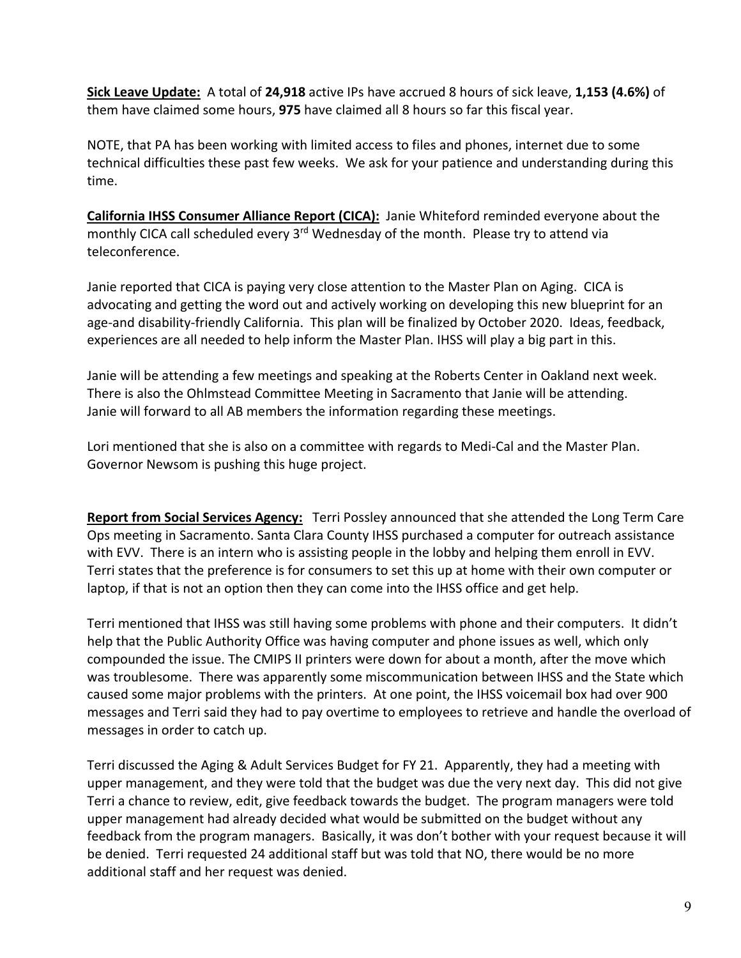**Sick Leave Update:** A total of **24,918** active IPs have accrued 8 hours of sick leave, **1,153 (4.6%)** of them have claimed some hours, **975** have claimed all 8 hours so far this fiscal year.

NOTE, that PA has been working with limited access to files and phones, internet due to some technical difficulties these past few weeks. We ask for your patience and understanding during this time.

California IHSS Consumer Alliance Report (CICA): Janie Whiteford reminded everyone about the monthly CICA call scheduled every 3<sup>rd</sup> Wednesday of the month. Please try to attend via teleconference.

Janie reported that CICA is paying very close attention to the Master Plan on Aging. CICA is advocating and getting the word out and actively working on developing this new blueprint for an age‐and disability‐friendly California. This plan will be finalized by October 2020. Ideas, feedback, experiences are all needed to help inform the Master Plan. IHSS will play a big part in this.

Janie will be attending a few meetings and speaking at the Roberts Center in Oakland next week. There is also the Ohlmstead Committee Meeting in Sacramento that Janie will be attending. Janie will forward to all AB members the information regarding these meetings.

Lori mentioned that she is also on a committee with regards to Medi‐Cal and the Master Plan. Governor Newsom is pushing this huge project.

Report from Social Services Agency: Terri Possley announced that she attended the Long Term Care Ops meeting in Sacramento. Santa Clara County IHSS purchased a computer for outreach assistance with EVV. There is an intern who is assisting people in the lobby and helping them enroll in EVV. Terri states that the preference is for consumers to set this up at home with their own computer or laptop, if that is not an option then they can come into the IHSS office and get help.

Terri mentioned that IHSS was still having some problems with phone and their computers. It didn't help that the Public Authority Office was having computer and phone issues as well, which only compounded the issue. The CMIPS II printers were down for about a month, after the move which was troublesome. There was apparently some miscommunication between IHSS and the State which caused some major problems with the printers. At one point, the IHSS voicemail box had over 900 messages and Terri said they had to pay overtime to employees to retrieve and handle the overload of messages in order to catch up.

Terri discussed the Aging & Adult Services Budget for FY 21. Apparently, they had a meeting with upper management, and they were told that the budget was due the very next day. This did not give Terri a chance to review, edit, give feedback towards the budget. The program managers were told upper management had already decided what would be submitted on the budget without any feedback from the program managers. Basically, it was don't bother with your request because it will be denied. Terri requested 24 additional staff but was told that NO, there would be no more additional staff and her request was denied.